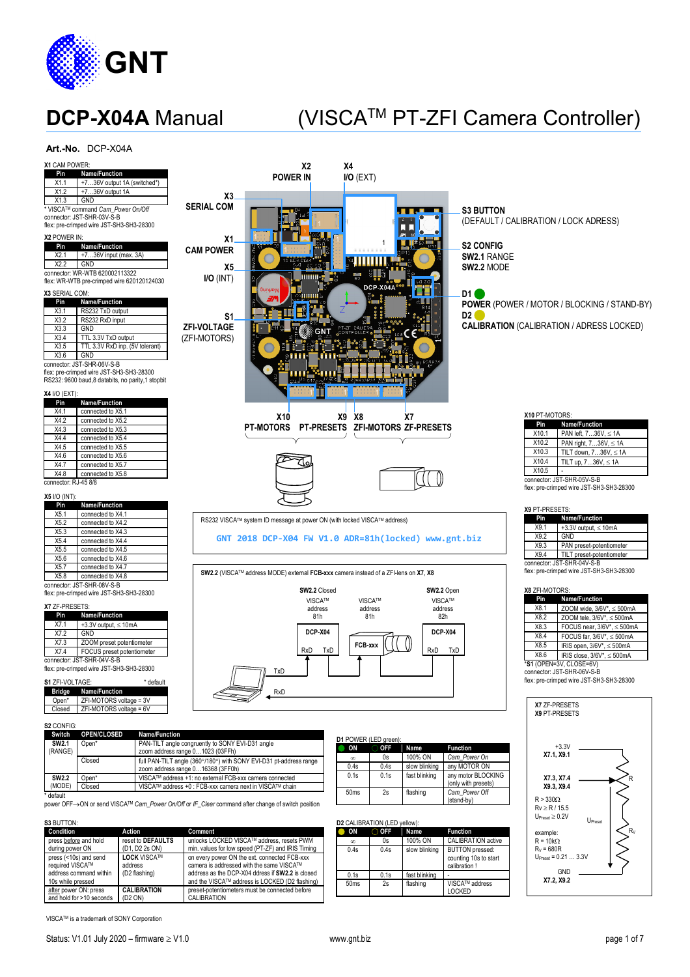

# DCP-X04A Manual (VISCA™ PT-ZFI Camera Controller)

### **Art.-No.** DCP-X04A

| X1 CAM POWER:<br>Name/Function<br>Pin                                                            |                                     |                                                                                                         | X2                                                                                  | Χ4                           |                          |                          |                                              |                                                                                        |
|--------------------------------------------------------------------------------------------------|-------------------------------------|---------------------------------------------------------------------------------------------------------|-------------------------------------------------------------------------------------|------------------------------|--------------------------|--------------------------|----------------------------------------------|----------------------------------------------------------------------------------------|
| X1.1                                                                                             | +736V output 1A (switched*)         |                                                                                                         | <b>POWER IN</b>                                                                     | $I/O$ (EXT)                  |                          |                          |                                              |                                                                                        |
| X1.2<br>+736V output 1A<br>X1.3<br>GND                                                           |                                     | X3                                                                                                      |                                                                                     |                              |                          |                          |                                              |                                                                                        |
| ' VISCA™ command Cam_Power On/Off<br>connector: JST-SHR-03V-S-B                                  |                                     | <b>SERIAL COM</b>                                                                                       |                                                                                     |                              |                          |                          | <b>S3 BUTTON</b>                             |                                                                                        |
| flex: pre-crimped wire JST-SH3-SH3-28300                                                         |                                     |                                                                                                         |                                                                                     |                              |                          |                          |                                              | (DEFAULT / CALIBRATION / LOCK ADRESS)                                                  |
| X2 POWER IN:                                                                                     |                                     | Х1                                                                                                      |                                                                                     |                              |                          |                          |                                              |                                                                                        |
| Pin<br>Name/Function<br>X2.1<br>+736V input (max. 3A)                                            |                                     | <b>CAM POWER</b>                                                                                        |                                                                                     |                              |                          |                          | <b>S2 CONFIG</b>                             |                                                                                        |
| X2.2<br>GND                                                                                      |                                     | X5                                                                                                      | <b>SER COM</b>                                                                      |                              |                          |                          | <b>SW2.1 RANGE</b><br>SW2.2 MODE             |                                                                                        |
| connector: WR-WTB 620002113322<br>flex: WR-WTB pre-crimped wire 620120124030                     |                                     | $I/O$ ( $INT$ )                                                                                         | mm -                                                                                |                              |                          |                          |                                              |                                                                                        |
| X3 SERIAL COM:                                                                                   |                                     |                                                                                                         |                                                                                     |                              | DCP-X04A                 |                          | D1 (                                         |                                                                                        |
| Name/Function<br>Pin                                                                             |                                     |                                                                                                         |                                                                                     |                              |                          |                          |                                              | <b>POWER (POWER / MOTOR / BLOCKING / STAND-BY)</b>                                     |
| RS232 TxD output<br>X3.1<br>X3.2<br>RS232 RxD input                                              |                                     | S1                                                                                                      |                                                                                     |                              |                          |                          | D2 L                                         |                                                                                        |
| X3.3<br>GND                                                                                      |                                     | <b>ZFI-VOLTAGE</b>                                                                                      | GNT                                                                                 |                              |                          |                          |                                              | <b>CALIBRATION (CALIBRATION / ADRESS LOCKED)</b>                                       |
| X3.4<br>TTL 3.3V TxD output<br>X3.5                                                              | TTL 3.3V RxD inp. (5V tolerant)     | (ZFI-MOTORS)                                                                                            |                                                                                     |                              |                          |                          |                                              |                                                                                        |
| X3.6<br>GND                                                                                      |                                     |                                                                                                         |                                                                                     |                              |                          |                          |                                              |                                                                                        |
| connector: JST-SHR-06V-S-B<br>flex: pre-crimped wire JST-SH3-SH3-28300                           |                                     |                                                                                                         |                                                                                     |                              |                          |                          |                                              |                                                                                        |
| RS232: 9600 baud,8 databits, no parity,1 stopbit                                                 |                                     |                                                                                                         |                                                                                     |                              |                          |                          |                                              |                                                                                        |
| <b>X4 I/O (EXT):</b>                                                                             |                                     |                                                                                                         |                                                                                     |                              |                          |                          |                                              |                                                                                        |
| Pin<br>Name/Function<br>X4.1<br>connected to X5.1                                                |                                     |                                                                                                         |                                                                                     |                              |                          |                          |                                              |                                                                                        |
| X4.2<br>connected to X5.2                                                                        |                                     |                                                                                                         | X <sub>10</sub><br>PT-MOTORS PT-PRESETS ZFI-MOTORS ZF-PRESETS                       | X9 X8                        |                          | X7                       |                                              | X10 PT-MOTORS:<br>Pin<br>Name/Function                                                 |
| X4.3<br>connected to X5.3<br>X4.4<br>connected to X5.4                                           |                                     |                                                                                                         |                                                                                     |                              |                          |                          |                                              | X10.1<br>PAN left, 736V, ≤ 1A                                                          |
| X4.5<br>connected to X5.5                                                                        |                                     |                                                                                                         |                                                                                     |                              |                          |                          |                                              | X10.2<br>PAN right, 736V, ≤ 1A<br>X10.3<br>TILT down, $736V$ , $\leq 1A$               |
| X4.6<br>connected to X5.6<br>X4.7<br>connected to X5.7                                           |                                     |                                                                                                         |                                                                                     |                              |                          |                          |                                              | X10.4<br>TILT up, 736V, ≤ 1A                                                           |
| X4.8<br>connected to X5.8                                                                        |                                     |                                                                                                         |                                                                                     |                              |                          |                          |                                              | X10.5<br>connector: JST-SHR-05V-S-B                                                    |
| connector: RJ-45 8/8                                                                             |                                     |                                                                                                         |                                                                                     |                              |                          |                          |                                              | flex: pre-crimped wire JST-SH3-SH3-28300                                               |
| <b>X5 I/O (INT):</b><br>Pin<br>Name/Function                                                     |                                     |                                                                                                         |                                                                                     |                              |                          |                          |                                              |                                                                                        |
| X5.1<br>connected to X4.1                                                                        |                                     |                                                                                                         |                                                                                     |                              |                          |                          |                                              | X9 PT-PRESETS:<br>Name/Function<br>Pin                                                 |
| X5.2<br>connected to X4.2<br>X5.3<br>connected to X4.3                                           |                                     |                                                                                                         | RS232 VISCA™ system ID message at power ON (with locked VISCA™ address)             |                              |                          |                          |                                              | X9.1<br>+3.3V output, $\leq$ 10mA                                                      |
| X5.4<br>connected to X4.4                                                                        |                                     |                                                                                                         | GNT 2018 DCP-X04 FW V1.0 ADR=81h(locked) www.gnt.biz                                |                              |                          |                          |                                              | X9.2<br>GND<br>X9.3<br>PAN preset-potentiometer                                        |
| X5.5<br>connected to X4.5<br>X5.6<br>connected to X4.6                                           |                                     |                                                                                                         |                                                                                     |                              |                          |                          |                                              | X9.4<br>TILT preset-potentiometer                                                      |
| X5.7<br>connected to X4.7                                                                        |                                     |                                                                                                         | SW2.2 (VISCA™ address MODE) external FCB-xxx camera instead of a ZFI-lens on X7, X8 |                              |                          |                          |                                              | connector: JST-SHR-04V-S-B<br>flex: pre-crimped wire JST-SH3-SH3-28300                 |
| X5.8<br>connected to X4.8<br>connector: JST-SHR-08V-S-B                                          |                                     |                                                                                                         |                                                                                     |                              |                          |                          |                                              |                                                                                        |
| flex: pre-crimped wire JST-SH3-SH3-28300                                                         |                                     |                                                                                                         | SW2.2 Closed                                                                        |                              |                          |                          | SW2.2 Open<br><b>VISCA™</b>                  | X8 ZFI-MOTORS:<br>Name/Function<br>Pin                                                 |
| X7 ZF-PRESETS:                                                                                   |                                     |                                                                                                         | <b>VISCATM</b><br>address                                                           |                              | <b>VISCA™</b><br>address |                          | address                                      | X8.1<br>ZOOM wide, $3/6V^*$ , $\leq 500$ mA                                            |
| Pin<br>Name/Function<br>X7.1<br>+3.3V output, $\leq$ 10mA                                        |                                     |                                                                                                         | 81h                                                                                 |                              | 81h                      |                          | 82h                                          | X8.2<br>ZOOM tele, $3/6V^*$ , $\leq 500$ mA                                            |
| X7.2<br>GND                                                                                      |                                     |                                                                                                         | DCP-X04                                                                             |                              |                          |                          | DCP-X04                                      | X8.3<br>FOCUS near, 3/6V*, $\leq$ 500mA<br>X8.4<br>FOCUS far, $3/6V^*$ , $\leq 500$ mA |
| X7.3<br>ZOOM preset potentiometer<br>X7.4<br>FOCUS preset potentiometer                          |                                     |                                                                                                         | RxD<br>TxD                                                                          | FCB-xxx                      |                          | RxD                      | TxD                                          | X8.5<br>IRIS open, $3/6V^*$ , $\leq 500$ mA                                            |
| connector: JST-SHR-04V-S-B                                                                       |                                     |                                                                                                         |                                                                                     |                              |                          |                          |                                              | X8.6<br>IRIS close, 3/6V*, ≤ 500mA<br>*S1 (OPEN=3V, CLOSE=6V)                          |
| flex: pre-crimped wire JST-SH3-SH3-28300                                                         |                                     |                                                                                                         | TxD                                                                                 |                              |                          |                          |                                              | connector: JST-SHR-06V-S-B                                                             |
| S1 ZFI-VOLTAGE:<br><b>Bridge</b><br>Name/Function                                                | * default                           |                                                                                                         | RxD                                                                                 |                              |                          |                          |                                              | flex: pre-crimped wire JST-SH3-SH3-28300                                               |
| ZFI-MOTORS voltage = 3V<br>Open*                                                                 |                                     |                                                                                                         |                                                                                     |                              |                          |                          |                                              | X7 ZF-PRESETS                                                                          |
| ZFI-MOTORS voltage = 6V<br>Closed                                                                |                                     |                                                                                                         |                                                                                     |                              |                          |                          |                                              | X9 PT-PRESETS                                                                          |
| S2 CONFIG:                                                                                       |                                     |                                                                                                         |                                                                                     |                              |                          |                          |                                              |                                                                                        |
| OPEN/CLOSED<br>Switch<br><b>SW2.1</b><br>Open*                                                   | Name/Function                       | PAN-TILT angle congruently to SONY EVI-D31 angle                                                        |                                                                                     | D1 POWER (LED green):        |                          |                          |                                              |                                                                                        |
| (RANGE)                                                                                          |                                     | zoom address range 01023 (03FFh)                                                                        |                                                                                     | $\bullet$ ON<br>$\infty$     | <b>OFF</b><br>0s         | Name<br>100% ON          | <b>Function</b><br>Cam Power On              | $+3.3V$<br>X7.1, X9.1                                                                  |
| Closed                                                                                           |                                     | full PAN-TILT angle (360°/180°) with SONY EVI-D31 pt-address range<br>zoom address range 016368 (3FF0h) |                                                                                     | 0.4s                         | 0.4s                     | slow blinking            | any MOTOR ON                                 |                                                                                        |
| <b>SW2.2</b><br>Open*<br>(MODE)                                                                  |                                     | VISCA™ address +1: no external FCB-xxx camera connected                                                 |                                                                                     | 0.1s                         | 0.1s                     | fast blinking            | any motor BLOCKING<br>(only with presets)    | X7.3, X7.4                                                                             |
| Closed<br>' default                                                                              |                                     | VISCA™ address +0 : FCB-xxx camera next in VISCA™ chain                                                 |                                                                                     | 50ms                         | 2s                       | flashing                 | Cam_Power Off                                | X9.3, X9.4                                                                             |
| power OFF→ON or send VISCA™ Cam_Power On/Off or IF_Clear command after change of switch position |                                     |                                                                                                         |                                                                                     |                              |                          |                          | (stand-by)                                   | $R > 330\Omega$<br>$Rv \ge R / 15.5$                                                   |
| S3 BUTTON:                                                                                       |                                     |                                                                                                         |                                                                                     | D2 CALIBRATION (LED yellow): |                          |                          |                                              | $U_{\text{Present}} \geq 0.2V$<br>Upreset                                              |
| Condition                                                                                        | Action                              | Comment                                                                                                 |                                                                                     | $\bullet$ ON                 | $\bigcirc$ OFF           | Name                     | <b>Function</b>                              | example:                                                                               |
| press before and hold<br>during power ON                                                         | reset to DEFAULTS<br>(D1, D2 2s ON) | unlocks LOCKED VISCA™ address, resets PWM                                                               | min. values for low speed (PT-ZF) and IRIS Timing                                   | $\infty$<br>0.4s             | 0s<br>0.4s               | 100% ON<br>slow blinking | CALIBRATION active<br><b>BUTTON</b> pressed: | $R = 10k\Omega$<br>$R_v = 680R$                                                        |
| press (<10s) and send                                                                            | <b>LOCK VISCA™</b>                  | on every power ON the ext. connected FCB-xxx                                                            |                                                                                     |                              |                          |                          | counting 10s to start                        | $U_{\text{Pnsat}} = 0.21  3.3V$                                                        |
| required VISCA™<br>address command within                                                        | address<br>(D2 flashing)            | camera is addressed with the same VISCA™                                                                | address as the DCP-X04 ddress if SW2.2 is closed                                    | 0.1s                         | 0.1s                     | fast blinking            | calibration!                                 | GND                                                                                    |
| 10s while pressed                                                                                |                                     |                                                                                                         | and the VISCA™ address is LOCKED (D2 flashing)                                      | 50ms                         | 2s                       | flashing                 | <b>VISCA™</b> address                        | X7.2, X9.2                                                                             |

VISCATM is a trademark of SONY Corporation

<u>after</u> power ON: press<br>and hold for >10 seconds

**CALIBRATION** (D2 ON)

50ms 2s flashing VISCA™ address<br>
LOCKED

preset-potentiometers must be connected before CALIBRATION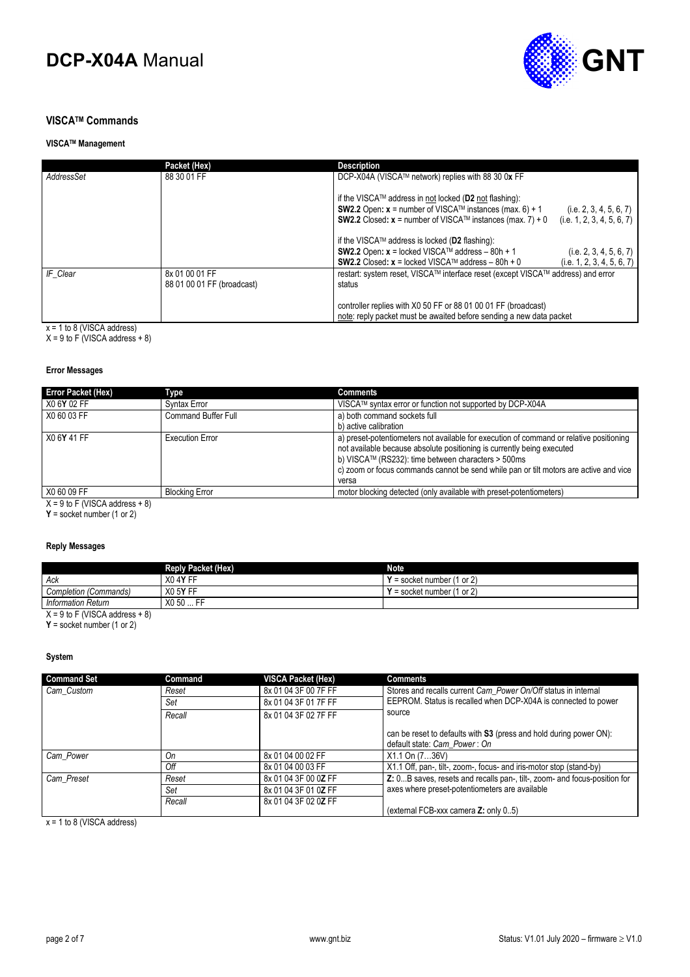

### **VISCATM Commands**

### **VISCATM Management**

|            | Packet (Hex)                                 | <b>Description</b>                                                                                                                                                                                                         |                                                       |
|------------|----------------------------------------------|----------------------------------------------------------------------------------------------------------------------------------------------------------------------------------------------------------------------------|-------------------------------------------------------|
| AddressSet | 88 30 01 FF                                  | DCP-X04A (VISCA™ network) replies with 88 30 0x FF                                                                                                                                                                         |                                                       |
|            |                                              | if the VISCA™ address in not locked (D2 not flashing):<br><b>SW2.2</b> Open: $x =$ number of VISCA <sup>TM</sup> instances (max. 6) + 1<br><b>SW2.2</b> Closed: $x =$ number of VISCA <sup>TM</sup> instances (max. 7) + 0 | (i.e. 2, 3, 4, 5, 6, 7)<br>(i.e. 1, 2, 3, 4, 5, 6, 7) |
|            |                                              | if the VISCA™ address is locked (D2 flashing):                                                                                                                                                                             |                                                       |
|            |                                              | SW2.2 Open: $x$ = locked VISCA™ address – 80h + 1<br><b>SW2.2</b> Closed: $x =$ locked VISCA™ address – 80h + 0                                                                                                            | (i.e. 2, 3, 4, 5, 6, 7)<br>(i.e. 1, 2, 3, 4, 5, 6, 7) |
| IF Clear   | 8x 01 00 01 FF<br>88 01 00 01 FF (broadcast) | restart: system reset, VISCA™ interface reset (except VISCA™ address) and error<br>status                                                                                                                                  |                                                       |
|            |                                              | controller replies with X0 50 FF or 88 01 00 01 FF (broadcast)<br>note: reply packet must be awaited before sending a new data packet                                                                                      |                                                       |

x = 1 to 8 (VISCA address)

 $X = 9$  to F (VISCA address  $+ 8$ )

#### **Error Messages**

| <b>Error Packet (Hex)</b>                              | Type                       | <b>Comments</b>                                                                                                                                                                                                                                                                                                                          |
|--------------------------------------------------------|----------------------------|------------------------------------------------------------------------------------------------------------------------------------------------------------------------------------------------------------------------------------------------------------------------------------------------------------------------------------------|
| X0 6Y 02 FF                                            | Syntax Error               | VISCA™ syntax error or function not supported by DCP-X04A                                                                                                                                                                                                                                                                                |
| X0 60 03 FF                                            | <b>Command Buffer Full</b> | a) both command sockets full                                                                                                                                                                                                                                                                                                             |
|                                                        |                            | b) active calibration                                                                                                                                                                                                                                                                                                                    |
| X0 6Y 41 FF                                            | <b>Execution Error</b>     | a) preset-potentiometers not available for execution of command or relative positioning<br>not available because absolute positioning is currently being executed<br>b) VISCA <sup>TM</sup> (RS232): time between characters $>$ 500ms<br>c) zoom or focus commands cannot be send while pan or tilt motors are active and vice<br>versa |
| X0 60 09 FF                                            | <b>Blocking Error</b>      | motor blocking detected (only available with preset-potentiometers)                                                                                                                                                                                                                                                                      |
| $V = 0$ is $\Gamma$ (iii) $0.01$ and $\Delta t = 0$ ). |                            |                                                                                                                                                                                                                                                                                                                                          |

 $X = 9$  to F (VISCA address  $+ 8$ )

**Y** = socket number (1 or 2)

### **Reply Messages**

|                                  | <b>Reply Packet (Hex)</b>  | <b>Note</b>                       |  |
|----------------------------------|----------------------------|-----------------------------------|--|
| Ack                              | X <sub>0</sub> 4Y FF       | $\prime$ = socket number (1 or 2) |  |
| Completion (Commands)            | X0 5Y FF                   | ' = socket number (1 or 2)        |  |
| <b>Information Return</b>        | .  FF<br>X <sub>0</sub> 50 |                                   |  |
| $X = 9$ to F (VISCA address + 8) |                            |                                   |  |

**Y** = socket number (1 or 2)

### **System**

| <b>Command Set</b> | Command | <b>VISCA Packet (Hex)</b> | <b>Comments</b>                                                                                    |
|--------------------|---------|---------------------------|----------------------------------------------------------------------------------------------------|
| Cam Custom         | Reset   | 8x 01 04 3F 00 7F FF      | Stores and recalls current Cam Power On/Off status in internal                                     |
|                    | Set     | 8x 01 04 3F 01 7F FF      | EEPROM. Status is recalled when DCP-X04A is connected to power                                     |
|                    | Recall  | 8x 01 04 3F 02 7F FF      | source                                                                                             |
|                    |         |                           | can be reset to defaults with S3 (press and hold during power ON):<br>default state: Cam Power: On |
| Cam Power          | Оn      | 8x 01 04 00 02 FF         | X1.1 On (736V)                                                                                     |
|                    | Off     | 8x 01 04 00 03 FF         | X1.1 Off, pan-, tilt-, zoom-, focus- and iris-motor stop (stand-by)                                |
| Cam_Preset         | Reset   | 8x 01 04 3F 00 0Z FF      | Z: 0B saves, resets and recalls pan-, tilt-, zoom- and focus-position for                          |
|                    | Set     | 8x 01 04 3F 01 0Z FF      | axes where preset-potentiometers are available                                                     |
|                    | Recall  | 8x 01 04 3F 02 0Z FF      | (external FCB-xxx camera Z: only 05)                                                               |

 $x = 1$  to 8 (VISCA address)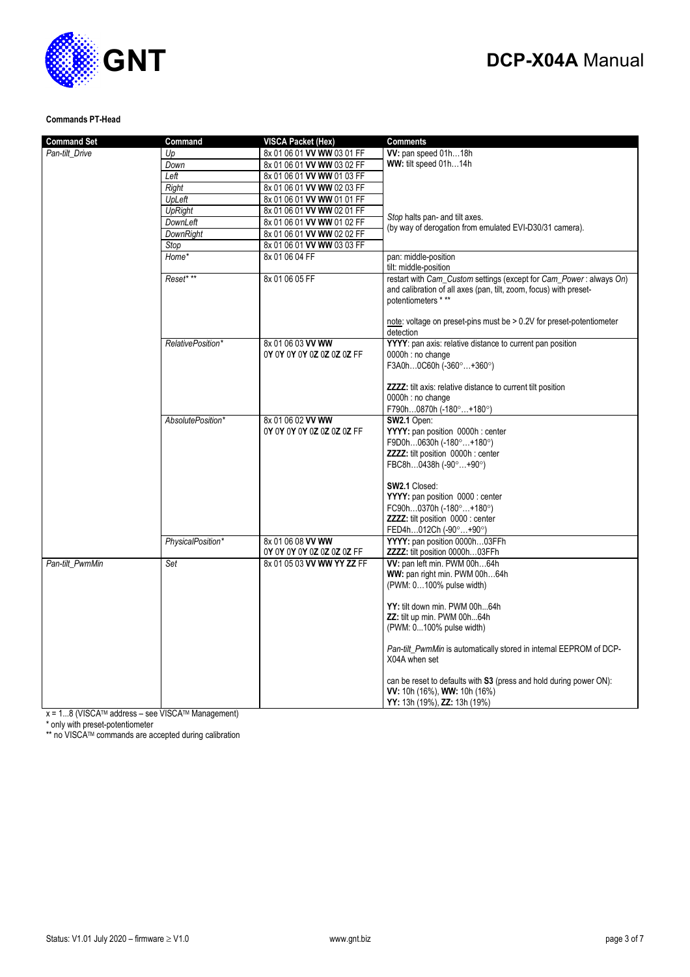# **GNT**

## **DCP-X04A** Manual

### **Commands PT-Head**

| <b>Command Set</b> | Command           | <b>VISCA Packet (Hex)</b>  | <b>Comments</b>                                                                                                                                                |
|--------------------|-------------------|----------------------------|----------------------------------------------------------------------------------------------------------------------------------------------------------------|
| Pan-tilt Drive     | Up                | 8x 01 06 01 VV WW 03 01 FF | W: pan speed 01h18h                                                                                                                                            |
|                    | Down              | 8x 01 06 01 VV WW 03 02 FF | WW: tilt speed 01h14h                                                                                                                                          |
|                    | Left              | 8x 01 06 01 VV WW 01 03 FF |                                                                                                                                                                |
|                    | Right             | 8x 01 06 01 VV WW 02 03 FF |                                                                                                                                                                |
|                    | UpLeft            | 8x 01 06 01 VV WW 01 01 FF |                                                                                                                                                                |
|                    | <b>UpRight</b>    | 8x 01 06 01 VV WW 02 01 FF |                                                                                                                                                                |
|                    | DownLeft          | 8x 01 06 01 VV WW 01 02 FF | Stop halts pan- and tilt axes.                                                                                                                                 |
|                    | <b>DownRight</b>  | 8x 01 06 01 VV WW 02 02 FF | (by way of derogation from emulated EVI-D30/31 camera).                                                                                                        |
|                    | Stop              | 8x 01 06 01 VV WW 03 03 FF |                                                                                                                                                                |
|                    | Home*             | 8x 01 06 04 FF             | pan: middle-position                                                                                                                                           |
|                    |                   |                            | tilt: middle-position                                                                                                                                          |
|                    | Reset* **         | 8x 01 06 05 FF             | restart with Cam_Custom settings (except for Cam_Power: always On)<br>and calibration of all axes (pan, tilt, zoom, focus) with preset-<br>potentiometers * ** |
|                    |                   |                            | note: voltage on preset-pins must be $> 0.2V$ for preset-potentiometer<br>detection                                                                            |
|                    | RelativePosition* | 8x 01 06 03 VV WW          | YYYY: pan axis: relative distance to current pan position                                                                                                      |
|                    |                   | 0Y 0Y 0Y 0Y 0Z 0Z 0Z 0Z FF | 0000h : no change                                                                                                                                              |
|                    |                   |                            | F3A0h0C60h (-360°+360°)                                                                                                                                        |
|                    |                   |                            | ZZZZ: tilt axis: relative distance to current tilt position<br>0000h : no change<br>F790h0870h (-180°+180°)                                                    |
|                    | AbsolutePosition* | 8x 01 06 02 VV WW          | SW2.1 Open:                                                                                                                                                    |
|                    |                   | 0Y 0Y 0Y 0Y 0Z 0Z 0Z 0Z FF | YYYY: pan position 0000h : center                                                                                                                              |
|                    |                   |                            | F9D0h0630h (-180°+180°)                                                                                                                                        |
|                    |                   |                            | <b>ZZZZ:</b> tilt position 0000h : center                                                                                                                      |
|                    |                   |                            | FBC8h0438h (-90°+90°)                                                                                                                                          |
|                    |                   |                            | <b>SW2.1 Closed:</b>                                                                                                                                           |
|                    |                   |                            | YYYY: pan position 0000 : center                                                                                                                               |
|                    |                   |                            | FC90h0370h (-180°+180°)                                                                                                                                        |
|                    |                   |                            | <b>ZZZZ:</b> tilt position 0000 : center                                                                                                                       |
|                    |                   |                            | FED4h012Ch (-90°+90°)                                                                                                                                          |
|                    | PhysicalPosition* | 8x 01 06 08 VV WW          | YYYY: pan position 0000h03FFh                                                                                                                                  |
|                    |                   | 0Y 0Y 0Y 0Y 0Z 0Z 0Z 0Z FF | ZZZZ: tilt position 0000h03FFh                                                                                                                                 |
| Pan-tilt_PwmMin    | Set               | 8x 01 05 03 VV WW YY ZZ FF | VV: pan left min. PWM 00h64h                                                                                                                                   |
|                    |                   |                            | WW: pan right min. PWM 00h64h                                                                                                                                  |
|                    |                   |                            | (PWM: 0100% pulse width)                                                                                                                                       |
|                    |                   |                            | YY: tilt down min. PWM 00h64h                                                                                                                                  |
|                    |                   |                            | ZZ: tilt up min. PWM 00h64h                                                                                                                                    |
|                    |                   |                            | (PWM: 0100% pulse width)                                                                                                                                       |
|                    |                   |                            |                                                                                                                                                                |
|                    |                   |                            | Pan-tilt_PwmMin is automatically stored in internal EEPROM of DCP-<br>X04A when set                                                                            |
|                    |                   |                            | can be reset to defaults with S3 (press and hold during power ON):<br>VV: 10h (16%), WW: 10h (16%)<br>YY: 13h (19%), ZZ: 13h (19%)                             |

 $x = 1...8$  (VISCA<sup>TM</sup> address – see VISCA<sup>TM</sup> Management)

\* only with preset-potentiometer

\*\* no VISCATM commands are accepted during calibration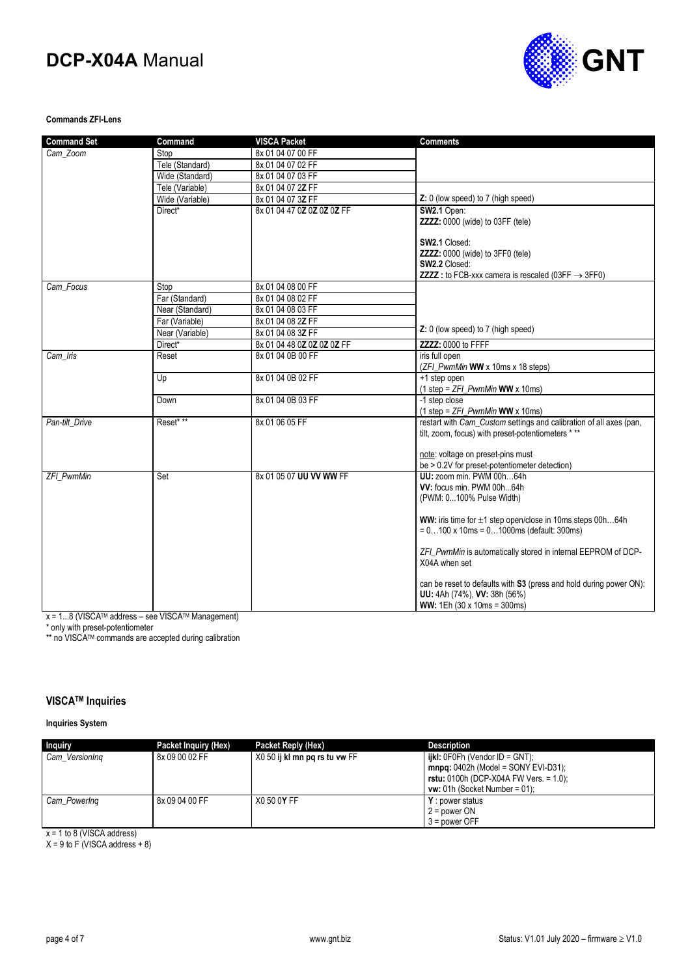

### **Commands ZFI-Lens**

| <b>Command Set</b> | Command         | <b>VISCA Packet</b>        | <b>Comments</b>                                                                                                             |
|--------------------|-----------------|----------------------------|-----------------------------------------------------------------------------------------------------------------------------|
| Cam Zoom           | Stop            | 8x 01 04 07 00 FF          |                                                                                                                             |
|                    | Tele (Standard) | 8x 01 04 07 02 FF          |                                                                                                                             |
|                    | Wide (Standard) | 8x 01 04 07 03 FF          |                                                                                                                             |
|                    | Tele (Variable) | 8x 01 04 07 2Z FF          |                                                                                                                             |
|                    | Wide (Variable) | 8x 01 04 07 3Z FF          | Z: 0 (low speed) to 7 (high speed)                                                                                          |
|                    | Direct*         | 8x 01 04 47 0Z 0Z 0Z 0Z FF | SW2.1 Open:                                                                                                                 |
|                    |                 |                            | ZZZZ: 0000 (wide) to 03FF (tele)                                                                                            |
|                    |                 |                            | SW2.1 Closed:                                                                                                               |
|                    |                 |                            | ZZZZ: 0000 (wide) to 3FF0 (tele)                                                                                            |
|                    |                 |                            | SW2.2 Closed:                                                                                                               |
|                    |                 |                            | <b>ZZZZ</b> : to FCB-xxx camera is rescaled (03FF $\rightarrow$ 3FF0)                                                       |
| Cam Focus          | Stop            | 8x 01 04 08 00 FF          |                                                                                                                             |
|                    | Far (Standard)  | 8x 01 04 08 02 FF          |                                                                                                                             |
|                    | Near (Standard) | 8x 01 04 08 03 FF          |                                                                                                                             |
|                    | Far (Variable)  | 8x 01 04 08 2Z FF          |                                                                                                                             |
|                    | Near (Variable) | 8x 01 04 08 3Z FF          | Z: 0 (low speed) to 7 (high speed)                                                                                          |
|                    | Direct*         | 8x 01 04 48 0Z 0Z 0Z 0Z FF | ZZZZ: 0000 to FFFF                                                                                                          |
| Cam Iris           | Reset           | 8x 01 04 0B 00 FF          | iris full open<br>(ZFI_PwmMin WW x 10ms x 18 steps)                                                                         |
|                    | Up              | 8x 01 04 0B 02 FF          | +1 step open                                                                                                                |
|                    |                 |                            | $(1 \text{ step} = ZFI$ PwmMin WW x 10ms)                                                                                   |
|                    | Down            | 8x 01 04 0B 03 FF          | -1 step close                                                                                                               |
|                    |                 |                            | $(1 \text{ step} = ZFL$ <i>PwmMin</i> <b>WW</b> x 10ms)                                                                     |
| Pan-tilt Drive     | Reset* **       | 8x 01 06 05 FF             | restart with Cam_Custom settings and calibration of all axes (pan,                                                          |
|                    |                 |                            | tilt, zoom, focus) with preset-potentiometers ***                                                                           |
|                    |                 |                            | note: voltage on preset-pins must                                                                                           |
|                    |                 |                            | be > 0.2V for preset-potentiometer detection)                                                                               |
| <b>ZFI PwmMin</b>  | Set             | 8x 01 05 07 UU VV WW FF    | UU: zoom min. PWM 00h64h                                                                                                    |
|                    |                 |                            | VV: focus min. PWM 00h64h                                                                                                   |
|                    |                 |                            | (PWM: 0100% Pulse Width)                                                                                                    |
|                    |                 |                            |                                                                                                                             |
|                    |                 |                            | <b>WW:</b> iris time for $\pm 1$ step open/close in 10ms steps 00h64h<br>$= 0100 \times 10$ ms = 01000 ms (default: 300 ms) |
|                    |                 |                            |                                                                                                                             |
|                    |                 |                            | ZFI_PwmMin is automatically stored in internal EEPROM of DCP-                                                               |
|                    |                 |                            | X04A when set                                                                                                               |
|                    |                 |                            | can be reset to defaults with S3 (press and hold during power ON):                                                          |
|                    |                 |                            | UU: 4Ah (74%), VV: 38h (56%)                                                                                                |
|                    |                 |                            | WW: 1Eh (30 x 10ms = 300ms)                                                                                                 |

x = 1...8 (VISCATM address – see VISCATM Management)

\* only with preset-potentiometer

\*\* no VISCATM commands are accepted during calibration

### **VISCATM Inquiries**

### **Inquiries System**

| <b>Inquiry</b> | Packet Inquiry (Hex) | Packet Reply (Hex)            | <b>Description</b>                                                                                                          |
|----------------|----------------------|-------------------------------|-----------------------------------------------------------------------------------------------------------------------------|
| Cam VersionIng | 8x 09 00 02 FF       | X0 50 ij kl mn pg rs tu vw FF | $i$ ikl: 0F0Fh (Vendor ID = GNT);<br>$mnpq: 0402h$ (Model = SONY EVI-D31);<br><b>rstu:</b> 0100h (DCP-X04A FW Vers. = 1.0); |
| Cam PowerIng   | 8x 09 04 00 FF       | X0 50 0Y FF                   | $vw: 01h$ (Socket Number = 01);<br>Y: power status<br>$2 = power ON$<br>$3 = power$ OFF                                     |

x = 1 to 8 (VISCA address)

 $X = 9$  to F (VISCA address  $+ 8$ )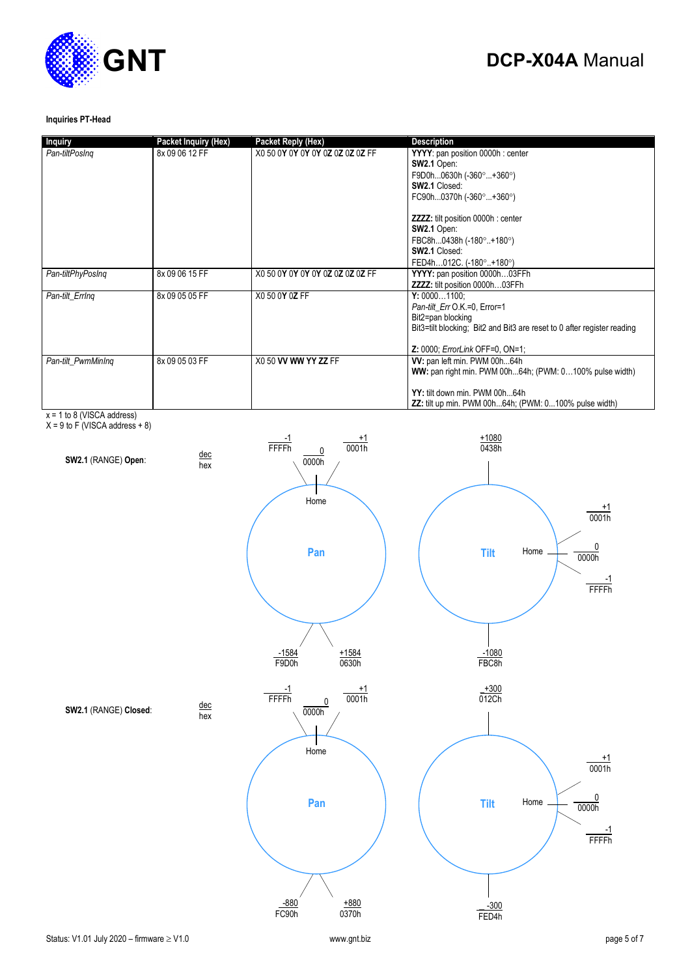

### **Inquiries PT-Head**

| <b>Inquiry</b>     | Packet Inquiry (Hex) | <b>Packet Reply (Hex)</b>        | <b>Description</b>                                                                                                                                                                                                                                                |
|--------------------|----------------------|----------------------------------|-------------------------------------------------------------------------------------------------------------------------------------------------------------------------------------------------------------------------------------------------------------------|
| Pan-tiltPosIng     | 8x 09 06 12 FF       | X0 50 0Y 0Y 0Y 0Y 0Z 0Z 0Z 0Z FF | YYYY: pan position 0000h : center<br>SW2.1 Open:<br>F9D0h0630h (-360°+360°)<br><b>SW2.1 Closed:</b><br>FC90h0370h (-360°+360°)<br><b>ZZZZ:</b> tilt position 0000h : center<br>SW2.1 Open:<br>FBC8h0438h (-180°+180°)<br>SW2.1 Closed:<br>FED4h012C. (-180°+180°) |
| Pan-tiltPhyPosIng  | 8x 09 06 15 FF       | X0 50 0Y 0Y 0Y 0Y 0Z 0Z 0Z 0Z FF | YYYY: pan position 0000h03FFh<br><b>ZZZZ:</b> tilt position 0000h03FFh                                                                                                                                                                                            |
| Pan-tilt ErrIng    | 8x 09 05 05 FF       | X0 50 0Y 0Z FF                   | Y: 00001100:<br>Pan-tilt Err O.K.=0. Error=1<br>Bit2=pan blocking<br>Bit3=tilt blocking; Bit2 and Bit3 are reset to 0 after register reading<br><b>Z: 0000; ErrorLink OFF=0, ON=1;</b>                                                                            |
| Pan-tilt PwmMinIng | 8x 09 05 03 FF       | X0 50 VV WW YY ZZ FF             | W: pan left min. PWM 00h64h<br>WW: pan right min. PWM 00h64h; (PWM: 0100% pulse width)<br>YY: tilt down min. PWM 00h64h<br><b>ZZ:</b> tilt up min. PWM 00h64h; (PWM: 0100% pulse width)                                                                           |

x = 1 to 8 (VISCA address)

 $X = 9$  to F (VISCA address  $+8$ )

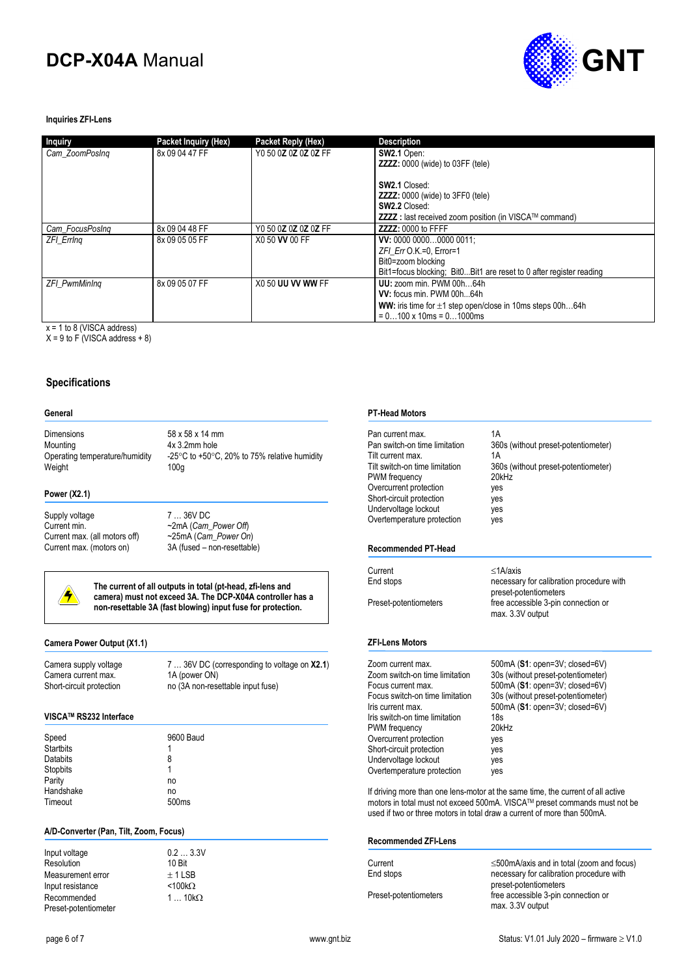

### **Inquiries ZFI-Lens**

| <b>Inquiry</b>       | Packet Inquiry (Hex) | Packet Reply (Hex)   | <b>Description</b>                                                    |
|----------------------|----------------------|----------------------|-----------------------------------------------------------------------|
| Cam ZoomPosing       | 8x 09 04 47 FF       | Y0 50 0Z 0Z 0Z 0Z FF | SW2.1 Open:                                                           |
|                      |                      |                      | <b>ZZZZ:</b> 0000 (wide) to 03FF (tele)                               |
|                      |                      |                      | <b>SW2.1 Closed:</b>                                                  |
|                      |                      |                      | <b>ZZZZ:</b> 0000 (wide) to 3FF0 (tele)                               |
|                      |                      |                      | <b>SW2.2 Closed:</b>                                                  |
|                      |                      |                      | <b>ZZZZ</b> : last received zoom position (in VISCA™ command)         |
| Cam FocusPosing      | 8x 09 04 48 FF       | Y0 50 0Z 0Z 0Z 0Z FF | ZZZZ: 0000 to FFFF                                                    |
| <b>ZFI Erring</b>    | 8x 09 05 05 FF       | X0 50 VV 00 FF       | VV: 0000 00000000 0011;                                               |
|                      |                      |                      | $ZFI$ Err O.K.=0. Error=1                                             |
|                      |                      |                      | Bit0=zoom blocking                                                    |
|                      |                      |                      | Bit1=focus blocking; Bit0Bit1 are reset to 0 after register reading   |
| <b>ZFI PwmMinIng</b> | 8x 09 05 07 FF       | X0 50 UU VV WW FF    | UU: zoom min. PWM 00h64h                                              |
|                      |                      |                      | VV: focus min. PWM 00h64h                                             |
|                      |                      |                      | <b>WW:</b> iris time for $\pm 1$ step open/close in 10ms steps 00h64h |
|                      |                      |                      | $= 0100 \times 10$ ms = 01000 ms                                      |

 $x = 1$  to 8 (VISCA address)

 $X = 9$  to F (VISCA address + 8)

### **Specifications**

#### **General**

Dimensions 58 x 58 x 14 mm Mounting  $4x$  3.2mm hole<br>Operating temperature/humidity  $-25^{\circ}$ C to +50 $^{\circ}$ C Weight 100g

-25 $\degree$ C to +50 $\degree$ C, 20% to 75% relative humidity

#### **Power (X2.1)**

Supply voltage 7 ... 36V DC<br>Current min.  $\sim$  2mA (Cam Current max. (all motors off) ~25mA (*Cam\_Power On*)

~2mA (*Cam\_Power Off*) 3A (fused – non-resettable)



**The current of all outputs in total (pt-head, zfi-lens and camera) must not exceed 3A. The DCP-X04A controller has a non-resettable 3A (fast blowing) input fuse for protection.** 

> $0.2 ... 3.3V$ 10 Bit  $+11$ SB  $<$ 100k $\Omega$ 1 …  $10k\Omega$

### **Camera Power Output (X1.1)**

Camera current max.<br>Short-circuit protection

Camera supply voltage 7 ... 36V DC (corresponding to voltage on **X2.1**)<br>Camera current max. 1A (power ON) no (3A non-resettable input fuse)

### **VISCATM RS232 Interface**

| Speed            | 9600 Baud         |
|------------------|-------------------|
| <b>Startbits</b> |                   |
| <b>Databits</b>  | 8                 |
| Stopbits         | 1                 |
| Parity           | no                |
| Handshake        | no                |
| Timeout          | 500 <sub>ms</sub> |

### **A/D-Converter (Pan, Tilt, Zoom, Focus)**

| Input voltage        |  |
|----------------------|--|
| Resolution           |  |
| Measurement error    |  |
| Input resistance     |  |
| Recommended          |  |
| Preset-potentiometer |  |

| 7  36V DC (corresponding to voltage on X |
|------------------------------------------|

### **PT-Head Motors**

| Pan current max.<br>Pan switch-on time limitation<br>Tilt current max.<br>Tilt switch-on time limitation<br>PWM frequency<br>Overcurrent protection<br>Short-circuit protection<br>Undervoltage lockout<br>Overtemperature protection                                                            | 1A<br>360s (without preset-potentiometer)<br>1Α<br>360s (without preset-potentiometer)<br>20kHz<br>yes<br>yes<br>yes<br>yes                                                                                                               |
|--------------------------------------------------------------------------------------------------------------------------------------------------------------------------------------------------------------------------------------------------------------------------------------------------|-------------------------------------------------------------------------------------------------------------------------------------------------------------------------------------------------------------------------------------------|
| Recommended PT-Head                                                                                                                                                                                                                                                                              |                                                                                                                                                                                                                                           |
| Current<br>End stops                                                                                                                                                                                                                                                                             | $<$ 1A/axis<br>necessary for calibration procedure with<br>preset-potentiometers                                                                                                                                                          |
| Preset-potentiometers                                                                                                                                                                                                                                                                            | free accessible 3-pin connection or<br>max. 3.3V output                                                                                                                                                                                   |
| <b>ZFI-Lens Motors</b>                                                                                                                                                                                                                                                                           |                                                                                                                                                                                                                                           |
| Zoom current max.<br>Zoom switch-on time limitation<br>Focus current max.<br>Focus switch-on time limitation<br>Iris current max.<br>Iris switch-on time limitation<br>PWM frequency<br>Overcurrent protection<br>Short-circuit protection<br>Undervoltage lockout<br>Overtemperature protection | 500mA (S1: open=3V; closed=6V)<br>30s (without preset-potentiometer)<br>500mA (S1: open=3V; closed=6V)<br>30s (without preset-potentiometer)<br>500mA (S1: open=3V; closed=6V)<br>18 <sub>s</sub><br>$20$ kHz<br>yes<br>yes<br>yes<br>yes |
|                                                                                                                                                                                                                                                                                                  | If driving more than one lens-motor at the same time, the current of all active<br>motors in total must not exceed 500mA. VISCA™ preset commands must not be<br>used if two or three motors in total draw a current of more than 500mA.   |

#### **Recommended ZFI-Lens**

| Current               | $\leq$ 500mA/axis and in total (zoom and focus) |
|-----------------------|-------------------------------------------------|
| End stops             | necessary for calibration procedure with        |
|                       | preset-potentiometers                           |
| Preset-potentiometers | free accessible 3-pin connection or             |
|                       | max. 3.3V output                                |